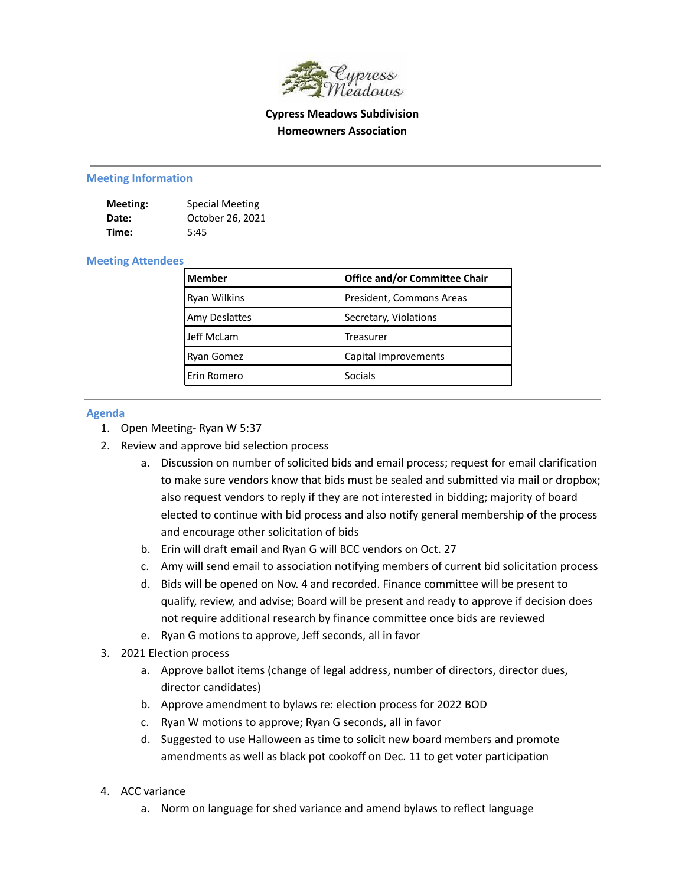

**Cypress Meadows Subdivision Homeowners Association**

#### **Meeting Information**

| Meeting: | <b>Special Meeting</b> |
|----------|------------------------|
| Date:    | October 26, 2021       |
| Time:    | 5:45                   |

#### **Meeting Attendees**

| lMember              | Office and/or Committee Chair |
|----------------------|-------------------------------|
| <b>Ryan Wilkins</b>  | President, Commons Areas      |
| <b>Amy Deslattes</b> | Secretary, Violations         |
| Jeff McLam           | Treasurer                     |
| <b>Ryan Gomez</b>    | Capital Improvements          |
| lErin Romero         | <b>Socials</b>                |

#### **Agenda**

- 1. Open Meeting- Ryan W 5:37
- 2. Review and approve bid selection process
	- a. Discussion on number of solicited bids and email process; request for email clarification to make sure vendors know that bids must be sealed and submitted via mail or dropbox; also request vendors to reply if they are not interested in bidding; majority of board elected to continue with bid process and also notify general membership of the process and encourage other solicitation of bids
	- b. Erin will draft email and Ryan G will BCC vendors on Oct. 27
	- c. Amy will send email to association notifying members of current bid solicitation process
	- d. Bids will be opened on Nov. 4 and recorded. Finance committee will be present to qualify, review, and advise; Board will be present and ready to approve if decision does not require additional research by finance committee once bids are reviewed
	- e. Ryan G motions to approve, Jeff seconds, all in favor
- 3. 2021 Election process
	- a. Approve ballot items (change of legal address, number of directors, director dues, director candidates)
	- b. Approve amendment to bylaws re: election process for 2022 BOD
	- c. Ryan W motions to approve; Ryan G seconds, all in favor
	- d. Suggested to use Halloween as time to solicit new board members and promote amendments as well as black pot cookoff on Dec. 11 to get voter participation
- 4. ACC variance
	- a. Norm on language for shed variance and amend bylaws to reflect language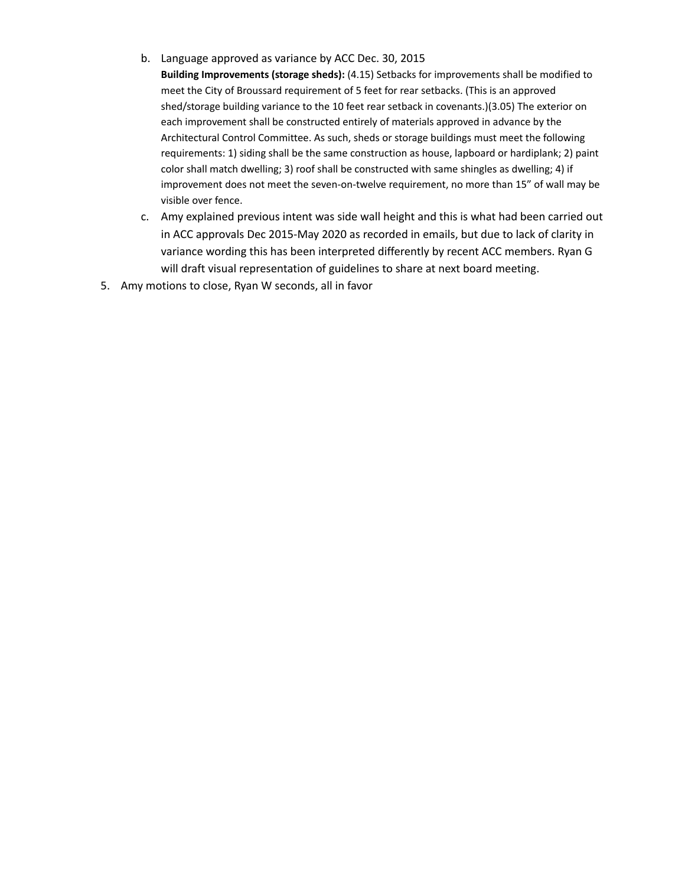- b. Language approved as variance by ACC Dec. 30, 2015
	- **Building Improvements (storage sheds):** (4.15) Setbacks for improvements shall be modified to meet the City of Broussard requirement of 5 feet for rear setbacks. (This is an approved shed/storage building variance to the 10 feet rear setback in covenants.)(3.05) The exterior on each improvement shall be constructed entirely of materials approved in advance by the Architectural Control Committee. As such, sheds or storage buildings must meet the following requirements: 1) siding shall be the same construction as house, lapboard or hardiplank; 2) paint color shall match dwelling; 3) roof shall be constructed with same shingles as dwelling; 4) if improvement does not meet the seven-on-twelve requirement, no more than 15" of wall may be visible over fence.
- c. Amy explained previous intent was side wall height and this is what had been carried out in ACC approvals Dec 2015-May 2020 as recorded in emails, but due to lack of clarity in variance wording this has been interpreted differently by recent ACC members. Ryan G will draft visual representation of guidelines to share at next board meeting.
- 5. Amy motions to close, Ryan W seconds, all in favor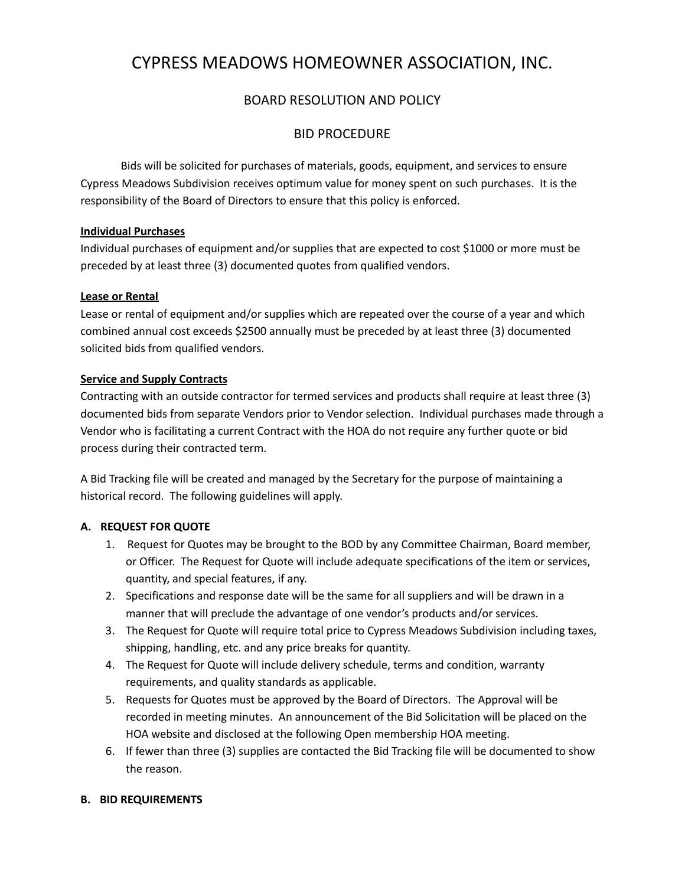# CYPRESS MEADOWS HOMEOWNER ASSOCIATION, INC.

## BOARD RESOLUTION AND POLICY

## BID PROCEDURE

Bids will be solicited for purchases of materials, goods, equipment, and services to ensure Cypress Meadows Subdivision receives optimum value for money spent on such purchases. It is the responsibility of the Board of Directors to ensure that this policy is enforced.

#### **Individual Purchases**

Individual purchases of equipment and/or supplies that are expected to cost \$1000 or more must be preceded by at least three (3) documented quotes from qualified vendors.

#### **Lease or Rental**

Lease or rental of equipment and/or supplies which are repeated over the course of a year and which combined annual cost exceeds \$2500 annually must be preceded by at least three (3) documented solicited bids from qualified vendors.

#### **Service and Supply Contracts**

Contracting with an outside contractor for termed services and products shall require at least three (3) documented bids from separate Vendors prior to Vendor selection. Individual purchases made through a Vendor who is facilitating a current Contract with the HOA do not require any further quote or bid process during their contracted term.

A Bid Tracking file will be created and managed by the Secretary for the purpose of maintaining a historical record. The following guidelines will apply.

## **A. REQUEST FOR QUOTE**

- 1. Request for Quotes may be brought to the BOD by any Committee Chairman, Board member, or Officer. The Request for Quote will include adequate specifications of the item or services, quantity, and special features, if any.
- 2. Specifications and response date will be the same for all suppliers and will be drawn in a manner that will preclude the advantage of one vendor's products and/or services.
- 3. The Request for Quote will require total price to Cypress Meadows Subdivision including taxes, shipping, handling, etc. and any price breaks for quantity.
- 4. The Request for Quote will include delivery schedule, terms and condition, warranty requirements, and quality standards as applicable.
- 5. Requests for Quotes must be approved by the Board of Directors. The Approval will be recorded in meeting minutes. An announcement of the Bid Solicitation will be placed on the HOA website and disclosed at the following Open membership HOA meeting.
- 6. If fewer than three (3) supplies are contacted the Bid Tracking file will be documented to show the reason.

## **B. BID REQUIREMENTS**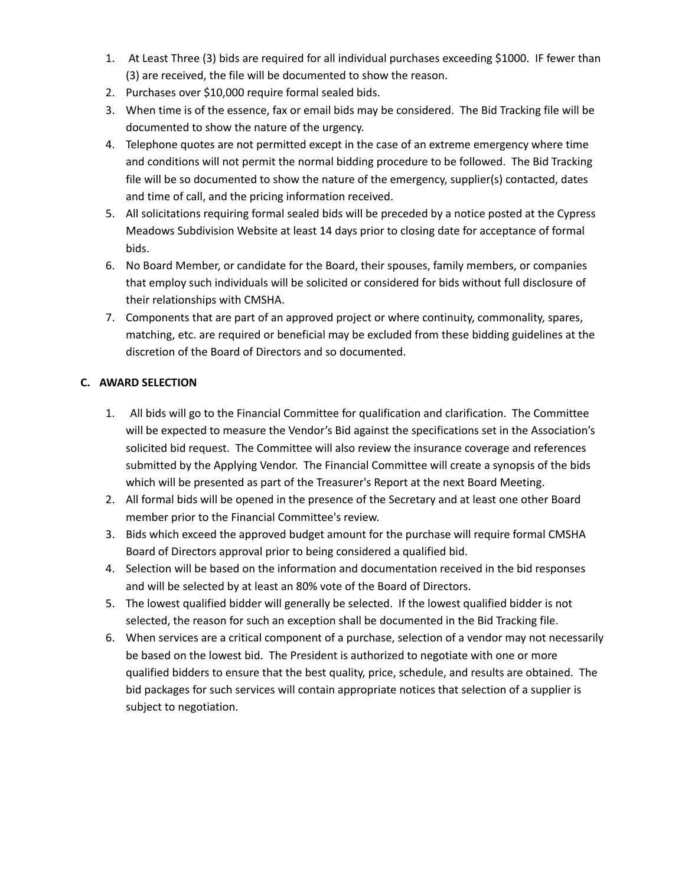- 1. At Least Three (3) bids are required for all individual purchases exceeding \$1000. IF fewer than (3) are received, the file will be documented to show the reason.
- 2. Purchases over \$10,000 require formal sealed bids.
- 3. When time is of the essence, fax or email bids may be considered. The Bid Tracking file will be documented to show the nature of the urgency.
- 4. Telephone quotes are not permitted except in the case of an extreme emergency where time and conditions will not permit the normal bidding procedure to be followed. The Bid Tracking file will be so documented to show the nature of the emergency, supplier(s) contacted, dates and time of call, and the pricing information received.
- 5. All solicitations requiring formal sealed bids will be preceded by a notice posted at the Cypress Meadows Subdivision Website at least 14 days prior to closing date for acceptance of formal bids.
- 6. No Board Member, or candidate for the Board, their spouses, family members, or companies that employ such individuals will be solicited or considered for bids without full disclosure of their relationships with CMSHA.
- 7. Components that are part of an approved project or where continuity, commonality, spares, matching, etc. are required or beneficial may be excluded from these bidding guidelines at the discretion of the Board of Directors and so documented.

## **C. AWARD SELECTION**

- 1. All bids will go to the Financial Committee for qualification and clarification. The Committee will be expected to measure the Vendor's Bid against the specifications set in the Association's solicited bid request. The Committee will also review the insurance coverage and references submitted by the Applying Vendor. The Financial Committee will create a synopsis of the bids which will be presented as part of the Treasurer's Report at the next Board Meeting.
- 2. All formal bids will be opened in the presence of the Secretary and at least one other Board member prior to the Financial Committee's review.
- 3. Bids which exceed the approved budget amount for the purchase will require formal CMSHA Board of Directors approval prior to being considered a qualified bid.
- 4. Selection will be based on the information and documentation received in the bid responses and will be selected by at least an 80% vote of the Board of Directors.
- 5. The lowest qualified bidder will generally be selected. If the lowest qualified bidder is not selected, the reason for such an exception shall be documented in the Bid Tracking file.
- 6. When services are a critical component of a purchase, selection of a vendor may not necessarily be based on the lowest bid. The President is authorized to negotiate with one or more qualified bidders to ensure that the best quality, price, schedule, and results are obtained. The bid packages for such services will contain appropriate notices that selection of a supplier is subject to negotiation.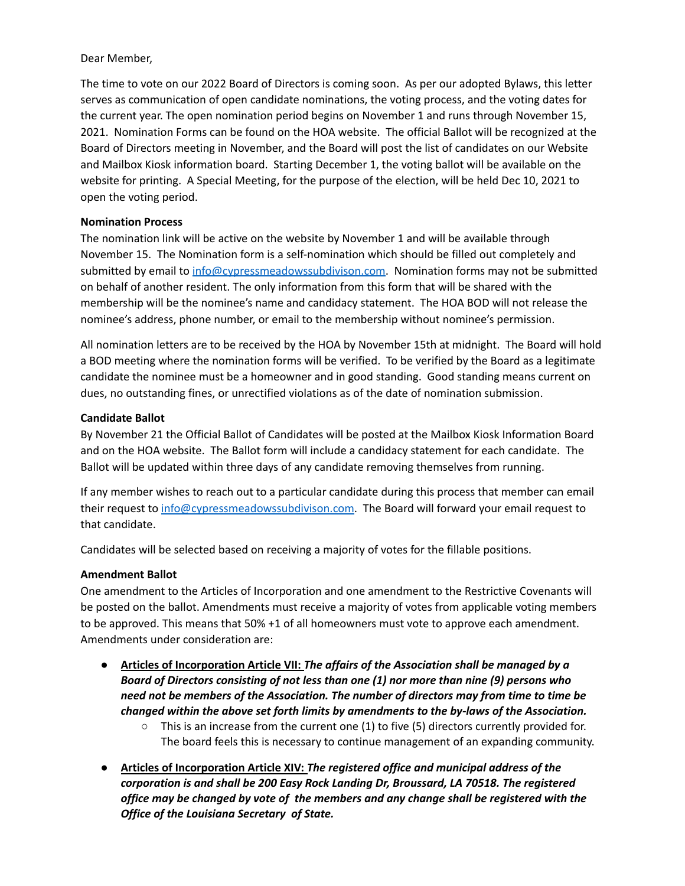#### Dear Member,

The time to vote on our 2022 Board of Directors is coming soon. As per our adopted Bylaws, this letter serves as communication of open candidate nominations, the voting process, and the voting dates for the current year. The open nomination period begins on November 1 and runs through November 15, 2021. Nomination Forms can be found on the HOA website. The official Ballot will be recognized at the Board of Directors meeting in November, and the Board will post the list of candidates on our Website and Mailbox Kiosk information board. Starting December 1, the voting ballot will be available on the website for printing. A Special Meeting, for the purpose of the election, will be held Dec 10, 2021 to open the voting period.

#### **Nomination Process**

The nomination link will be active on the website by November 1 and will be available through November 15. The Nomination form is a self-nomination which should be filled out completely and submitted by email to [info@cypressmeadowssubdivison.com.](mailto:info@cypressmeadowssubdivison.com) Nomination forms may not be submitted on behalf of another resident. The only information from this form that will be shared with the membership will be the nominee's name and candidacy statement. The HOA BOD will not release the nominee's address, phone number, or email to the membership without nominee's permission.

All nomination letters are to be received by the HOA by November 15th at midnight. The Board will hold a BOD meeting where the nomination forms will be verified. To be verified by the Board as a legitimate candidate the nominee must be a homeowner and in good standing. Good standing means current on dues, no outstanding fines, or unrectified violations as of the date of nomination submission.

#### **Candidate Ballot**

By November 21 the Official Ballot of Candidates will be posted at the Mailbox Kiosk Information Board and on the HOA website. The Ballot form will include a candidacy statement for each candidate. The Ballot will be updated within three days of any candidate removing themselves from running.

If any member wishes to reach out to a particular candidate during this process that member can email their request to [info@cypressmeadowssubdivison.com.](mailto:info@cypressmeadowssubdivison.com) The Board will forward your email request to that candidate.

Candidates will be selected based on receiving a majority of votes for the fillable positions.

#### **Amendment Ballot**

One amendment to the Articles of Incorporation and one amendment to the Restrictive Covenants will be posted on the ballot. Amendments must receive a majority of votes from applicable voting members to be approved. This means that 50% +1 of all homeowners must vote to approve each amendment. Amendments under consideration are:

- **Articles of Incorporation Article VII:** *The affairs of the Association shall be managed by a Board of Directors consisting of not less than one (1) nor more than nine (9) persons who need not be members of the Association. The number of directors may from time to time be changed within the above set forth limits by amendments to the by-laws of the Association.*
	- $\circ$  This is an increase from the current one (1) to five (5) directors currently provided for. The board feels this is necessary to continue management of an expanding community.
- **● Articles of Incorporation Article XIV:** *The registered office and municipal address of the corporation is and shall be 200 Easy Rock Landing Dr, Broussard, LA 70518. The registered office may be changed by vote of the members and any change shall be registered with the Office of the Louisiana Secretary of State.*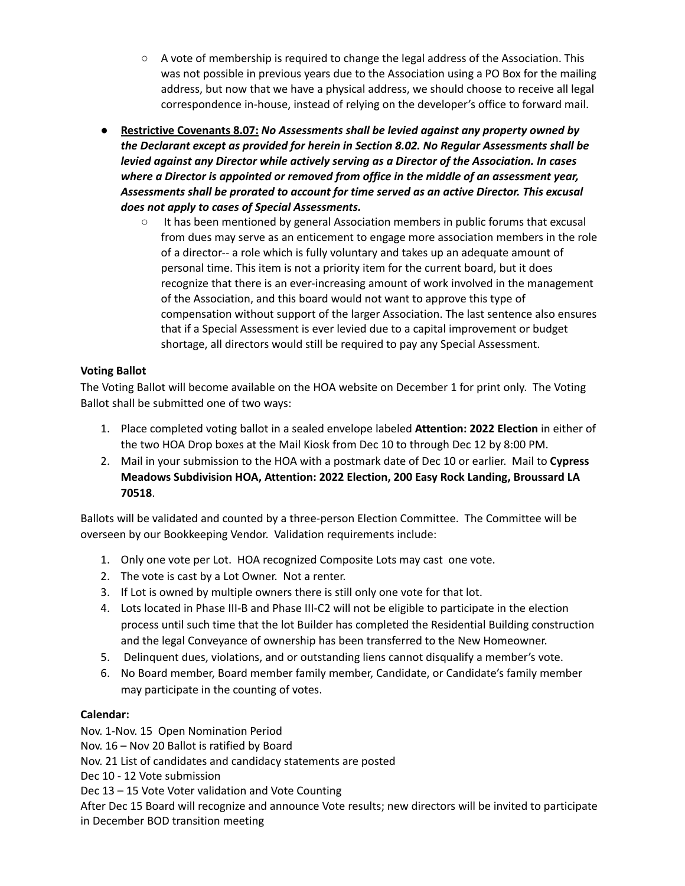- **○** A vote of membership is required to change the legal address of the Association. This was not possible in previous years due to the Association using a PO Box for the mailing address, but now that we have a physical address, we should choose to receive all legal correspondence in-house, instead of relying on the developer's office to forward mail.
- **Restrictive Covenants 8.07:** *No Assessments shall be levied against any property owned by the Declarant except as provided for herein in Section 8.02. No Regular Assessments shall be levied against any Director while actively serving as a Director of the Association. In cases where a Director is appointed or removed from office in the middle of an assessment year, Assessments shall be prorated to account for time served as an active Director. This excusal does not apply to cases of Special Assessments.*
	- It has been mentioned by general Association members in public forums that excusal from dues may serve as an enticement to engage more association members in the role of a director-- a role which is fully voluntary and takes up an adequate amount of personal time. This item is not a priority item for the current board, but it does recognize that there is an ever-increasing amount of work involved in the management of the Association, and this board would not want to approve this type of compensation without support of the larger Association. The last sentence also ensures that if a Special Assessment is ever levied due to a capital improvement or budget shortage, all directors would still be required to pay any Special Assessment.

## **Voting Ballot**

The Voting Ballot will become available on the HOA website on December 1 for print only. The Voting Ballot shall be submitted one of two ways:

- 1. Place completed voting ballot in a sealed envelope labeled **Attention: 2022 Election** in either of the two HOA Drop boxes at the Mail Kiosk from Dec 10 to through Dec 12 by 8:00 PM.
- 2. Mail in your submission to the HOA with a postmark date of Dec 10 or earlier. Mail to **Cypress Meadows Subdivision HOA, Attention: 2022 Election, 200 Easy Rock Landing, Broussard LA 70518**.

Ballots will be validated and counted by a three-person Election Committee. The Committee will be overseen by our Bookkeeping Vendor. Validation requirements include:

- 1. Only one vote per Lot. HOA recognized Composite Lots may cast one vote.
- 2. The vote is cast by a Lot Owner. Not a renter.
- 3. If Lot is owned by multiple owners there is still only one vote for that lot.
- 4. Lots located in Phase III-B and Phase III-C2 will not be eligible to participate in the election process until such time that the lot Builder has completed the Residential Building construction and the legal Conveyance of ownership has been transferred to the New Homeowner.
- 5. Delinquent dues, violations, and or outstanding liens cannot disqualify a member's vote.
- 6. No Board member, Board member family member, Candidate, or Candidate's family member may participate in the counting of votes.

## **Calendar:**

Nov. 1-Nov. 15 Open Nomination Period Nov. 16 – Nov 20 Ballot is ratified by Board Nov. 21 List of candidates and candidacy statements are posted Dec 10 - 12 Vote submission Dec 13 – 15 Vote Voter validation and Vote Counting After Dec 15 Board will recognize and announce Vote results; new directors will be invited to participate in December BOD transition meeting